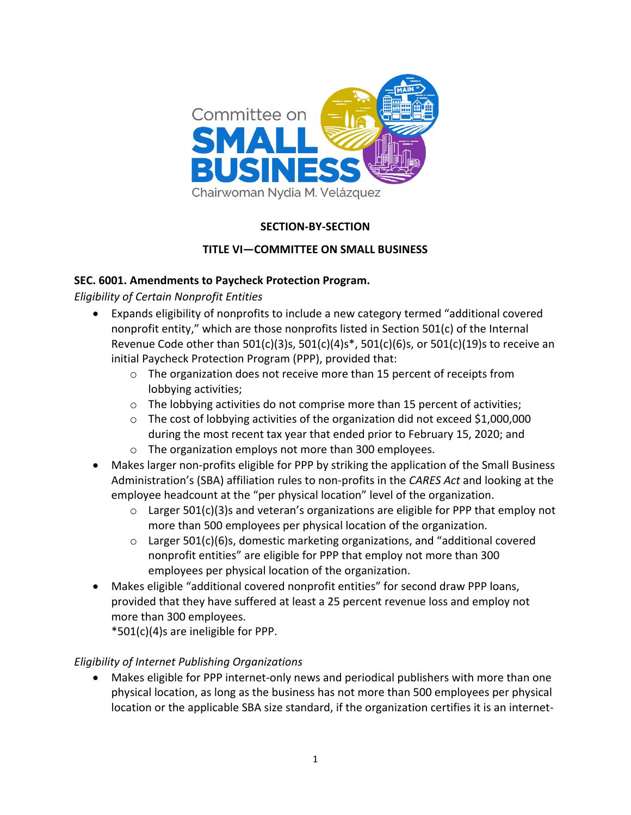

# **SECTION-BY-SECTION**

## **TITLE VI—COMMITTEE ON SMALL BUSINESS**

#### **SEC. 6001. Amendments to Paycheck Protection Program.**

*Eligibility of Certain Nonprofit Entities*

- Expands eligibility of nonprofits to include a new category termed "additional covered nonprofit entity," which are those nonprofits listed in Section 501(c) of the Internal Revenue Code other than 501(c)(3)s, 501(c)(4)s\*, 501(c)(6)s, or 501(c)(19)s to receive an initial Paycheck Protection Program (PPP), provided that:
	- o The organization does not receive more than 15 percent of receipts from lobbying activities;
	- $\circ$  The lobbying activities do not comprise more than 15 percent of activities;
	- o The cost of lobbying activities of the organization did not exceed \$1,000,000 during the most recent tax year that ended prior to February 15, 2020; and
	- o The organization employs not more than 300 employees.
- Makes larger non-profits eligible for PPP by striking the application of the Small Business Administration's (SBA) affiliation rules to non-profits in the *CARES Act* and looking at the employee headcount at the "per physical location" level of the organization.
	- $\circ$  Larger 501(c)(3)s and veteran's organizations are eligible for PPP that employ not more than 500 employees per physical location of the organization.
	- o Larger 501(c)(6)s, domestic marketing organizations, and "additional covered nonprofit entities" are eligible for PPP that employ not more than 300 employees per physical location of the organization.
- Makes eligible "additional covered nonprofit entities" for second draw PPP loans, provided that they have suffered at least a 25 percent revenue loss and employ not more than 300 employees.

\*501(c)(4)s are ineligible for PPP.

#### *Eligibility of Internet Publishing Organizations*

• Makes eligible for PPP internet-only news and periodical publishers with more than one physical location, as long as the business has not more than 500 employees per physical location or the applicable SBA size standard, if the organization certifies it is an internet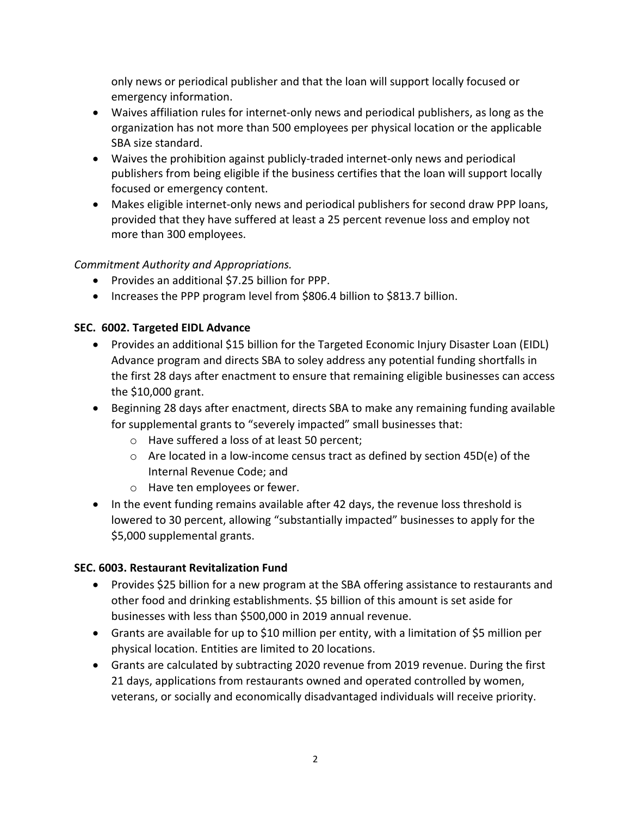only news or periodical publisher and that the loan will support locally focused or emergency information.

- Waives affiliation rules for internet-only news and periodical publishers, as long as the organization has not more than 500 employees per physical location or the applicable SBA size standard.
- Waives the prohibition against publicly-traded internet-only news and periodical publishers from being eligible if the business certifies that the loan will support locally focused or emergency content.
- Makes eligible internet-only news and periodical publishers for second draw PPP loans, provided that they have suffered at least a 25 percent revenue loss and employ not more than 300 employees.

## *Commitment Authority and Appropriations.*

- Provides an additional \$7.25 billion for PPP.
- Increases the PPP program level from \$806.4 billion to \$813.7 billion.

#### **SEC. 6002. Targeted EIDL Advance**

- Provides an additional \$15 billion for the Targeted Economic Injury Disaster Loan (EIDL) Advance program and directs SBA to soley address any potential funding shortfalls in the first 28 days after enactment to ensure that remaining eligible businesses can access the \$10,000 grant.
- Beginning 28 days after enactment, directs SBA to make any remaining funding available for supplemental grants to "severely impacted" small businesses that:
	- o Have suffered a loss of at least 50 percent;
	- $\circ$  Are located in a low-income census tract as defined by section 45D(e) of the Internal Revenue Code; and
	- o Have ten employees or fewer.
- In the event funding remains available after 42 days, the revenue loss threshold is lowered to 30 percent, allowing "substantially impacted" businesses to apply for the \$5,000 supplemental grants.

#### **SEC. 6003. Restaurant Revitalization Fund**

- Provides \$25 billion for a new program at the SBA offering assistance to restaurants and other food and drinking establishments. \$5 billion of this amount is set aside for businesses with less than \$500,000 in 2019 annual revenue.
- Grants are available for up to \$10 million per entity, with a limitation of \$5 million per physical location. Entities are limited to 20 locations.
- Grants are calculated by subtracting 2020 revenue from 2019 revenue. During the first 21 days, applications from restaurants owned and operated controlled by women, veterans, or socially and economically disadvantaged individuals will receive priority.